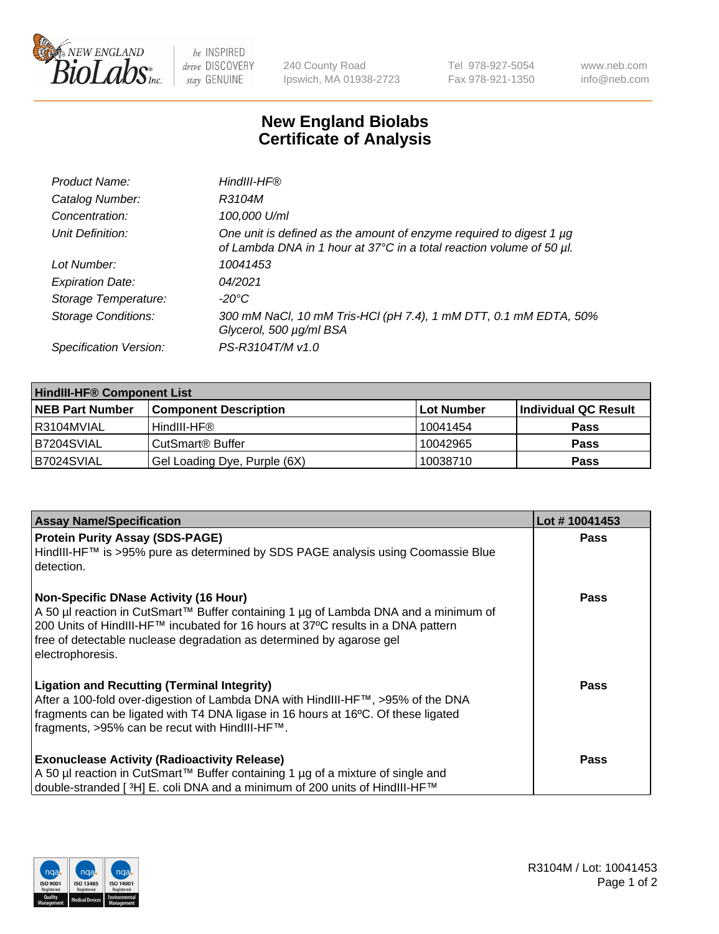

 $be$  INSPIRED drive DISCOVERY stay GENUINE

240 County Road Ipswich, MA 01938-2723 Tel 978-927-5054 Fax 978-921-1350 www.neb.com info@neb.com

## **New England Biolabs Certificate of Analysis**

| Product Name:              | HindIII-HF®                                                                                                                                 |
|----------------------------|---------------------------------------------------------------------------------------------------------------------------------------------|
| Catalog Number:            | R3104M                                                                                                                                      |
| Concentration:             | 100,000 U/ml                                                                                                                                |
| Unit Definition:           | One unit is defined as the amount of enzyme required to digest 1 µg<br>of Lambda DNA in 1 hour at 37°C in a total reaction volume of 50 µl. |
| Lot Number:                | 10041453                                                                                                                                    |
| <b>Expiration Date:</b>    | 04/2021                                                                                                                                     |
| Storage Temperature:       | $-20^{\circ}$ C                                                                                                                             |
| <b>Storage Conditions:</b> | 300 mM NaCl, 10 mM Tris-HCl (pH 7.4), 1 mM DTT, 0.1 mM EDTA, 50%<br>Glycerol, 500 µg/ml BSA                                                 |
| Specification Version:     | PS-R3104T/M v1.0                                                                                                                            |

| <b>HindIII-HF® Component List</b> |                              |            |                      |  |  |
|-----------------------------------|------------------------------|------------|----------------------|--|--|
| <b>NEB Part Number</b>            | <b>Component Description</b> | Lot Number | Individual QC Result |  |  |
| R3104MVIAL                        | HindIII-HF®                  | 10041454   | <b>Pass</b>          |  |  |
| B7204SVIAL                        | CutSmart® Buffer             | 10042965   | <b>Pass</b>          |  |  |
| B7024SVIAL                        | Gel Loading Dye, Purple (6X) | 10038710   | <b>Pass</b>          |  |  |

| <b>Assay Name/Specification</b>                                                                                                                                         | Lot #10041453 |
|-------------------------------------------------------------------------------------------------------------------------------------------------------------------------|---------------|
| <b>Protein Purity Assay (SDS-PAGE)</b><br>HindIII-HF™ is >95% pure as determined by SDS PAGE analysis using Coomassie Blue                                              | <b>Pass</b>   |
| l detection.                                                                                                                                                            |               |
| <b>Non-Specific DNase Activity (16 Hour)</b>                                                                                                                            | Pass          |
| A 50 µl reaction in CutSmart™ Buffer containing 1 µg of Lambda DNA and a minimum of<br>200 Units of HindIII-HF™ incubated for 16 hours at 37°C results in a DNA pattern |               |
| free of detectable nuclease degradation as determined by agarose gel<br>electrophoresis.                                                                                |               |
|                                                                                                                                                                         |               |
| <b>Ligation and Recutting (Terminal Integrity)</b>                                                                                                                      | Pass          |
| After a 100-fold over-digestion of Lambda DNA with HindIII-HF™, >95% of the DNA<br>fragments can be ligated with T4 DNA ligase in 16 hours at 16°C. Of these ligated    |               |
| fragments, >95% can be recut with HindIII-HF™.                                                                                                                          |               |
|                                                                                                                                                                         |               |
| <b>Exonuclease Activity (Radioactivity Release)</b>                                                                                                                     | Pass          |
| A 50 µl reaction in CutSmart™ Buffer containing 1 µg of a mixture of single and                                                                                         |               |
| double-stranded [ 3H] E. coli DNA and a minimum of 200 units of HindIII-HF™                                                                                             |               |